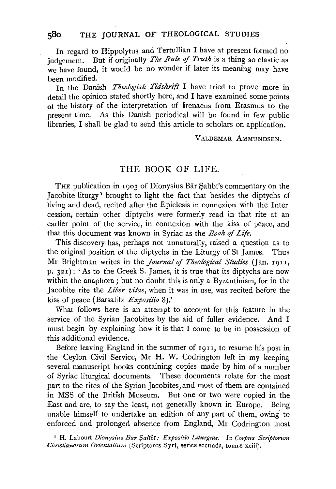In regard to Hippolytus and Tertullian I have at present formed no judgement. But if originally *The Rule of Truth* is a thing so elastic as we have found, it would be no wonder if later its meaning may have been modified.

In the Danish *Theologisk Tidskrift* I have tried to prove more in detail the opinion stated shortly here, and I have examined some points of the history of the interpretation of Irenaeus from Erasmus to the present time. As this Danish periodical will be found in few public libraries, I shall be glad to send this article to scholars on application.

### VALDEMAR AMMUNDSEN.

## THE BOOK OF LIFE.

THE publication in 1903 of Dionysius Bar Salibi's commentary on the Jacobite liturgy 1 brought to light the fact that besides the diptychs of living and dead, recited after the Epiclesis in connexion with the Intercession, certain other diptychs were formerly read in that rite at an earlier point of the service, in connexion with the kiss of peace, and that this document was known in Syriac as the *Book of Life.* 

This discovery has, perhaps not unnaturally, raised a question as to the original position of the diptychs in the Liturgy of St James. Thus Mr Brightman writes in the *Journal of Theological Studies* (Jan. r9rr, p. 321): 'As to the Greek S. James, it is true that its diptychs are now within the anaphora; but no doubt this is only a Byzantinism, for in the Jacobite rite the *Liber vitae,* when it was in use, was recited before the kiss of peace (Barsalibi *Expositio 8).'* 

What follows here is an attempt to account for this feature in the service of the Syrian Jacobites by the aid of fuller evidence. And I must begin by explaining how it is that I come to be in possession of this additional evidence.

Before leaving England in the summer of 1911, to resume his post in the Ceylon Civil Service, Mr H. W. Codrington left in my keeping several manuscript books containing copies made by him of a number of Syriac liturgical documents. These documents relate for the most part to the rites of the Syrian Jacobites, and most of them are contained in MSS of the British Museum. But one or two were copied in the East and are, to say the least, not generally known in Europe. Being unable himself to undertake an edition of any part of them, owing to enforced and prolonged absence from England, Mr Codrington most

1 H. Labourt *Dionysius Bar \$alibi: Expositio Liturgiae.* In *Corpus Scriptorum Christianorum Orientalium* (Scriptores Syri, series secunda, tomus xciii).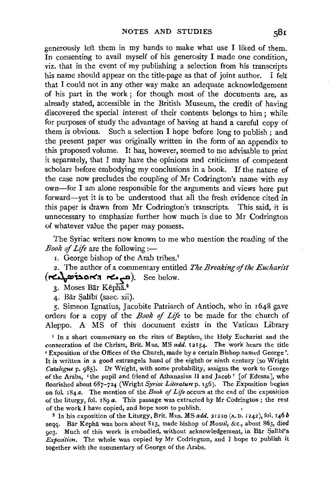generously left them in my hands to make what use I liked of them. In consenting to avail myself of his generosity I made one condition, viz. that in the event of my publishing a selection from his transcripts his name should appear on the title-page as that of joint author. I felt that I could not in any other way make an adequate acknowledgement of his part in the work ; for though most of the documents are, as already stated, accessible in the British Museum, the credit of having discovered the special interest of their contents belongs to him ; while for purposes of study the advantage of having at hand a careful copy of them is obvious. Such a selection I hope before long to publish; and the present paper was originally written in the form of an appendix to this proposed volume. It has, however, seemed to me advisable to print it separately, that I may have the opinions and criticisms of competent scholars before embodying my conclusions in a book. If the nature of the case now precludes the coupling of Mr Codrington's name with my own-for I am alone responsible for the arguments and views here put forward-yet it is to be understood that all the fresh evidence cited in this paper is drawn from Mr Codrington's transcripts. This said, it is unnecessary to emphasize further how much is due to Mr Codrington of whatever value the paper may possess.

The Syriac writers now known to me who mention the reading of the *Book of Life* are the following:—

1. George bishop of the Arab tribes.<sup>1</sup>

2. The author of a commentary entitled *The Breaking of the Eucharist*   $(\sim 1.50$   $\sim 5.7$   $\sim 1.5$  See below.

3. Moses Bar Kepha.<sup>2</sup>

4. Bār Salībī (saec. xii).

5. Simeon Ignatius, Jacobite Patriarch of Antioch, who in 1648 gave orders for a copy of the *Book* of *Life* to be made for the church of Aleppo. A MS of this document exists in the Vatican Library

<sup>1</sup> In a short commentary on the rites of Baptism, the Holy Eucharist and the consecration of the Chrism, Brit. Mus. MS *add.* 12154. The work bears the title ' Exposition of the Offices of the Church, made by a certain Bishop named George'. It is written in a good estrangela hand of the eighth or ninth century (so Wright *Catalogue* p. 985). Dr Wright, with some probability, assigns the work to George of the Arabs, 'the pupil and friend of Athanasius II and Jacob ' [of Edessa ], who flourished about 687-724 (Wright Syriac Literature p. 156). The Exposition begins on fol. 184a. The mention of the *Book of Life* occurs at the end of the exposition of the liturgy, fol. 189 *a*. This passage was extracted by Mr Codrington; the rest of the work I have copied, and hope soon to publish.

<sup>2</sup> In his exposition of the Liturgy, Brit. Mus. MS add. 21210 (A.D. 1242), fol. 146b seqq. Bar Kepha was born about 813, made bishop of Mosul, &c., about 863, died 903. Much of this work is embodied, without acknowledgement, in Bar Salibi's *Exposition.* The whole was copied by Mr Codrington, and I hope to publish it together with the commentary of George of the Arabs.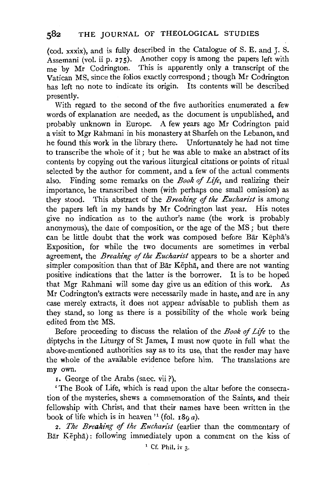(cod. xxxix), and is fully described in the Catalogue of S. E. and J. S. Assemani (vol. ii p. 275). Another copy is among the papers left with me by Mr Codrington. This is apparently only a transcript of the Vatican MS, since the folios exactly correspond; though Mr Codrington has left no note to indicate its origin. Its contents will be described presently.

With regard to the second of the five authorities enumerated a few words of explanation are needed, as the document is unpublished, and probably unknown in Europe. A few years ago Mr Codrington paid a visit to Mgr Rahmani in his monastery at Sharfeh on the Lebanon, and he found this work in the library there. Unfortunately he had not time to transcribe the whole of it ; but he was able to make an abstract of its contents by copying out the various liturgical citations or points of ritual selected by the author for comment, and a few of the actual comments also. Finding some remarks on the *Book* of *Life,* and realizing their importance, he transcribed them (with perhaps one small omission) as they stood. This abstract of the *Breaking of the Eucharist* is among the papers left in my hands by Mr Codrington last year. His notes give no indication as to the author's name (the work is probably anonymous), the date of composition, or the age of the MS ; but there can be little doubt that the work was composed before Bar Kepha's Exposition, for while the two documents are sometimes in verbal agreement, the *Breaking of the Eucharist* appears to be a shorter and simpler composition than that of Bar Kepha, and there are not wanting positive indications that the latter is the borrower. It is to be hoped that Mgr Rahmani will some day give us an edition of this work. As Mr Codrington's extracts were necessarily made in haste, and are in any case merely extracts, it does not appear advisable to publish them as they stand, so long as there is a possibility of the whole work being edited from the MS.

Before proceeding to discuss the relation of the *Book of Life* to the diptychs in the Liturgy of St James, I must now quote in full what the above-mentioned authorities say as to its use, that the reader may have the whole of the available evidence before him. The translations are my own.

1. George of the Arabs (saec. vii?).

'The Book of Life, which is read upon the altar before the consecration of the mysteries, shews a commemoration of the Saints, and their fellowship with Christ, and that their names have been written in the book of life which is in heaven  $'$ <sup>1</sup> (fol. 189*a*).

2. The Breaking of the Eucharist (earlier than the commentary of Bar Kepha) : following immediately upon a comment on the kiss of

 $1$  Cf. Phil. iv 3.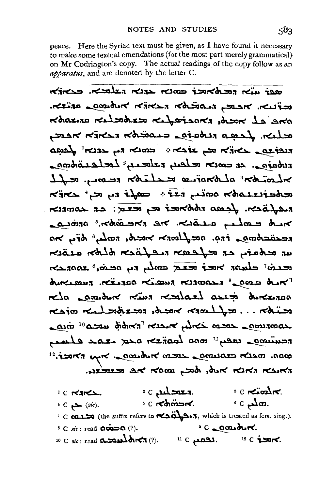peace. Here the Syriac text must be given, as I have found it necessary to make some textual emendations (for the most part merely grammatical) on Mr Codrington's copy. The actual readings of the copy follow as an *apparatus,* and are denoted by the letter C.

 $x^2$   $\rightarrow$   $x^2$   $\rightarrow$   $x^2$   $\rightarrow$   $x^2$   $\rightarrow$   $x^2$   $\rightarrow$   $x^2$   $\rightarrow$   $x^2$   $\rightarrow$   $x^2$  $c_1$ .  $c_2$  .  $c_3$  .  $c_4$  .  $c_5$  .  $c_6$  .  $c_7$  .  $c_8$  .  $c_9$  .  $c_9$ rdaz ar xaber a xabetan araba  $r$   $r$  . The  $r$  indution  $r$  is the  $r$  in  $r$  $a$  $x^2$   $\sim$   $x^2$   $\sim$   $x^2$   $\sim$   $x^2$   $\sim$   $x^2$   $\sim$   $x^2$   $\sim$   $x^2$   $\sim$   $x^2$   $\sim$   $x^2$   $\sim$   $x^2$   $\sim$   $x^2$   $\sim$   $x^2$   $\sim$   $x^2$   $\sim$   $x^2$   $\sim$   $x^2$   $\sim$   $x^2$   $\sim$   $x^2$   $\sim$   $x^2$   $\sim$   $x^2$   $\sim$   $x^2$   $\sim$  $_{\rm conbin}$  $_{\rm anoh\ddot{a}}$  ,  $_{\rm 1}$  ,  $_{\rm 1}$  ,  $_{\rm 2}$  ,  $_{\rm 1}$  ,  $_{\rm 2}$  ,  $_{\rm 1}$  ,  $_{\rm 2}$  ,  $_{\rm 1}$  ,  $_{\rm 2}$  ,  $_{\rm 2}$  ,  $_{\rm 2}$  ,  $_{\rm 2}$  ,  $_{\rm 2}$  ,  $_{\rm 2}$  ,  $_{\rm 2}$  ,  $_{\rm 2}$  ,  $_{\rm 2}$  ,  $_{\rm 2}$  , 1..\.-= ·t..aca....=:1 r<~~ aa.....;ot<c\\.10 3r<~m..lr<  $r$  $\frac{1}{2}$  $r \rightarrow \frac{1}{2}$   $r \rightarrow \frac{1}{2}$   $r \rightarrow \frac{1}{2}$   $r \rightarrow \frac{1}{2}$   $r \rightarrow \frac{1}{2}$  $\frac{1}{2}$ rana  $\frac{1}{2}$ :  $\frac{1}{2}$   $\frac{1}{2}$   $\frac{1}{2}$   $\frac{1}{2}$   $\frac{1}{2}$   $\frac{1}{2}$   $\frac{1}{2}$   $\frac{1}{2}$   $\frac{1}{2}$   $\frac{1}{2}$  $\epsilon$  $r = 1$  $\kappa$ . Estate ar Elema redista distribution and  $r$  $\sim$  $100$   $\mu$ ,  $\alpha$   $\sim$   $100$   $\mu$ ,  $\alpha$ ,  $\alpha$   $\mu$ ,  $\alpha$ ,  $\alpha$ ,  $\alpha$ ,  $\alpha$ ,  $\alpha$ ,  $\alpha$ ,  $\alpha$ ,  $\alpha$ ,  $\alpha$ ,  $\alpha$ ,  $\alpha$ ,  $\alpha$ ,  $\alpha$ ,  $\alpha$ ,  $\alpha$ ,  $\alpha$ ,  $\alpha$ ,  $\alpha$ ,  $\alpha$ ,  $\alpha$ ,  $\alpha$ ,  $\alpha$ ,  $\alpha$ ,  $\alpha$ ,  $\alpha$ ,  $\alpha$ ,  $\alpha$ ,  $\omega_{\rm max}$  .  $\kappa$  $\alpha_{\rm max}$  .  $\kappa$  .  $\alpha_{\rm max}$  .  $\kappa$  .  $\kappa$  .  $\kappa$  .  $\kappa$  .  $\kappa$  and  $\kappa$  ries  $\kappa$  relate also direction  $\kappa$  ...  $\kappa$  ...  $\kappa$  ...  $\kappa$  ...  $\kappa$ ~cD 10~ ~~r<':l1 ~r< ~r6,. ~ ~:ICD~  $t = \frac{\mu \cdot \mu}{2}$ re aa $^{-1}$ i  $^{-1}$  aa $^{-1}$   $^{-1}$  $^{12}$ . הבורא נארץ . כמוטאורל מבוצג בממט מבוצב הלוגמה האבצבא באר המסא האול, האבא האבא האב

 $1 \text{ C}$   $\kappa$  $\kappa$ .  $2 \text{ C}$   $\mu$   $\mu$   $\kappa$ .  $3 \text{ C}$   $\kappa$   $\kappa$ .  $\overline{c}$   $\overline{c}$   $\overline{c}$   $\overline{c}$   $\overline{c}$   $\overline{c}$   $\overline{c}$   $\overline{c}$   $\overline{c}$   $\overline{c}$   $\overline{c}$   $\overline{c}$   $\overline{c}$   $\overline{c}$   $\overline{c}$   $\overline{c}$   $\overline{c}$   $\overline{c}$   $\overline{c}$   $\overline{c}$   $\overline{c}$   $\overline{c}$   $\overline{c}$   $\overline{c}$   $\overline{$ 7 C COLES (the suffix refers to  $\sim$   $\alpha$ ).<br>7, which is treated as fem. sing.).  $S \subset \text{Si}c$ :  $\text{read } \text{O} \text{cis} \text{O}$  (?).  $S \subset \text{C} \text{cos} \text{cos} \text{O} \text{cos} \text{O}$ 10 C *sic:* read a...=..aal~r<:I (?). 11 C ~. u C ~r<.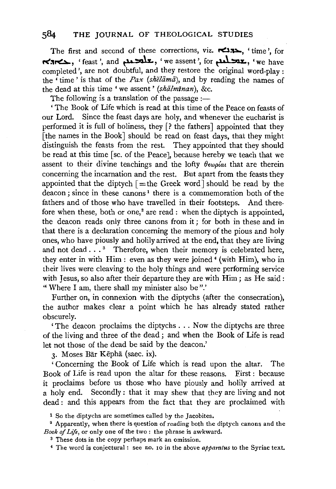## 584 THE JOURNAL OF THEOLOGICAL STUDIES

The first and second of these corrections, viz.  $\leftarrow \rightarrow \rightarrow$ , 'time', for  $r$ .  $r \geq r$ , 'feast', and  $r$  '  $r$  we assent', for  $r \geq r$ , 'we have completed', are not doubtful, and they restore the original word-play: the  $\cdot$  time' is that of the *Pax (shelama)*, and by reading the names of the dead at this time 'we assent' *(shālmīnan)*, &c.

The following is a translation of the passage  $:$ ---

' The Book of Life which is read at this time of the Peace on feasts of our Lord. Since the feast days are holy, and whenever the eucharist is performed it is full of holiness, they [? the fathers] appointed that they [the names in the Book] should be read on feast days, that they might distinguish the feasts from the rest. They appointed that they should be read at this time [sc. of the Peace], because hereby we teach that we assent to their divine teachings and the lofty  $\theta \epsilon_{\mu}$  that are therein concerning the incarnation and the rest. But apart from the feasts they appointed that the diptych  $[$  = the Greek word should be read by the deacon ; since in these canons<sup>1</sup> there is a commemoration both of the fathers and of those who have travelled in their footsteps. And therefore when these, both or one,<sup>2</sup> are read: when the diptych is appointed, the deacon reads only three canons from it; for both in these and in that there is a declaration concerning the memory of the pious and holy ones, who have piously and holily arrived at the end, that they are living and not dead . . .<sup>3</sup> Therefore, when their memory is celebrated here, they enter in with Him: even as they were joined  $*$  (with Him), who in their lives were cleaving to the holy things and were performing service with Jesus, so also after their departure they are with Him; as He said: "Where I am, there shall my minister also be".'

Further on, in connexion with the diptychs (after the consecration), the author makes clear a point which he has already stated rather obscurely.

'The deacon proclaims the diptychs ... Now the diptychs are three of the living and three of the dead; and when the Book of Life is read let not those of the dead be said by the deacon.'

3. Moses Bar Kepha (saec. ix).

' Concerning the Book of Life which is read upon the altar. The Book of Life is read upon the altar for these reasons. Eirst : because it proclaims before us those who have piously and holily arrived at a holy end. Secondly: that it may shew that they are living and not dead : and this appears from the fact that they are proclaimed with

1 So the diptychs are sometimes called by the Jacobites.<br><sup>2</sup> Apparently, when there is question of reading both the diptych canons and the *Book of Life,* or only one of the two : the phrase is awkward.

3 These dots in the copy perhaps mark an omission. 4 The word is conjectural: see no. 10 in the above *apparatus* to the Syriac text.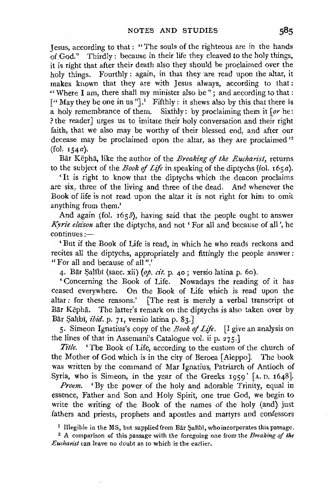Jesus, according to that : "The souls of the righteous are in the hands of.God." Thirdly: because in their life they cleaved to the holy things, it is right that after their death also they should be proclaimed over the holy things. Fourthly: again, in that they are read upon the altar, it makes known that they are with Jesus always, according to that : "Where I am, there shall my minister also be"; and according to that: ["May they be one in us"].<sup>1</sup> Fifthly: it shews also by this that there is a holy remembrance of them. Sixthly: by proclaiming them it *[or* he: ? the reader] urges us to imitate their holy conversation and their right faith, that we also may be worthy of their blessed end, and after our decease may be proclaimed upon the altar, as they are proclaimed ' 2 (fol.  $154a$ ).

Bar Kepba, like the author of the *Breaking of the Eucharist,* returns to the subject of the *Book of Life* in speaking of the diptychs (fol. 165a).

'It is right to know that the diptychs which the deacon proclaims are six, three of the living and three of the dead. And whenever the Book of life is not read upon the altar it is not right for him to omit anything from them.'

And again (fol.  $165b$ ), having said that the people ought to answer *Kyrie eleison* after the diptychs, and not 'For all and because of all', he  $continues :=$ 

'But if the Book of Life is read, in which he who reads reckons and recites all the diptychs, appropriately and fittingly the people answer : "For all and because of all".'

4. Bar \$alibi (saec. xii) *(op. cit.* p. 40; versio latina p. 60).

' Concerning the Book of Life. Nowadays the reading of it has ceased everywhere. On the Book of Life which is read upon the altar : for these reasons.' [The rest is merely a verbal transcript ot Bar Kepba. The latter's remark on the diptychs is also taken over by Bār Salībī, *ibid*. p. 71, versio latina p. 83.]

5. Simeon Ignatius's copy of the *Book of Life.* [I give an analysis on the lines of that in Assemani's Catalogue vol. ii p. 275.]

*Title.* 'The Book of Life, according to the custom of the church of the Mother of God which is in the city of Beroea [Aleppo]. The book was written by the command of Mar Ignatius, Patriarch of Antioch of Syria, who is Simeon, in the year of the Greeks 1959' [A. D. 1648].

*Proem.* 'By the power of the holy and adorable Trinity, equal in essence, Father and Son and Holy Spirit, one true God, we begin to write the writing of the Book of the names of the holy (and) just .fathers and priests, prophets and apostles and martyrs and confessors

<sup>1</sup> Illegible in the MS, but supplied from Bar Salibi, who incorporates this passage. <sup>2</sup> A comparison of this passage with the foregoing one from the *Breaking of the Eucharist* can leave no doubt as to which is the earlier.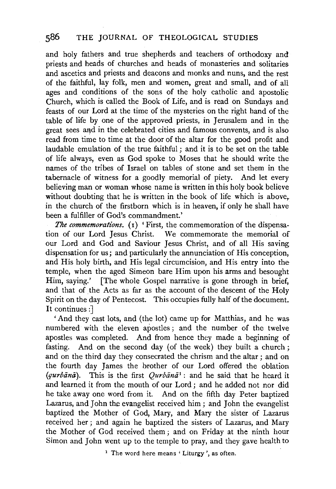and holy fathers and true shepherds and teachers of orthodoxy and priests and heads of churches and heads of monasteries and solitaries and ascetics and priests and deacons and monks and nuns, and the rest of the faithful, lay folk, men and women, great and small, and of all ages and conditions of the sons of the holy catholic and apostolic Church, which is called the Book of Life, and is read on Sundays and feasts of our Lord at the time of the mysteries on the right hand of the table of life by one of the approved priests, in Jerusalem and in the great sees and in the celebrated cities and famous convents, and is also read from time to time at the door of the altar for the good profit and laudable emulation of the true faithful ; and it is to be set on the table of life always, even as God spoke to Moses that he should write the names of the tribes of Israel on tables of stone and set them in the tabernacle of witness for a goodly memorial of piety. And let every believing man or woman whose name is written in this holy book believe without doubting that he is written in the book of life which is above, in the church of the firstborn which is in heaven, if only he shall have been a fulfiller of God's commandment.'

*The commemorations.* (1) 'First, the commemoration of the dispensation of our Lord Jesus Christ. We commemorate the memorial of our Lord and God and Saviour Jesus Christ, and of all His saving dispensation for us; and particularly the annunciation of His conception, and His holy birth, and His legal circumcision, and His entry into the temple, when the aged Simeon bare Him upon his arms and besought Him, saying.' [The whole Gospel narrative is gone through in brief, and that of the Acts as far as the account of the descent of the Holy Spirit on the day of Pentecost. This occupies fully half of the document. It continues :]

'And they cast lots, and (the lot) came up for Matthias, and he was numbered with the eleven apostles ; and the number of the twelve apostles was completed. And from hence they made a beginning of fasting. And on the second day (of the week) they built a church; and on the third day they consecrated the chrism and the altar; and on the fourth day James the brother of our Lord offered the oblation (*gurbānā*). This is the first  $Our b\bar{a}n\bar{a}^1$ : and he said that he heard it and learned it from the mouth of our Lord; and he added not nor did he take away one word from it. And on the fifth day Peter baptized Lazarus, and John the evangelist received him ; and John the evangelist baptized the Mother of God, Mary, and Mary the sister of Lazarus received her; and again he baptized the sisters of Lazarus, and Mary the Mother of God received them; and on Friday at the ninth hour Simon and John went up to the temple to pray, and they gave health to

<sup>1</sup> The word here means 'Liturgy', as often.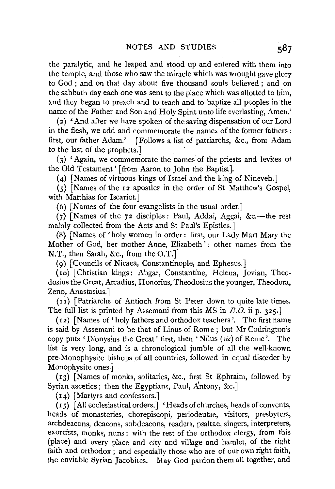the paralytic, and he leaped and stood up and entered with them into the temple, and those who saw the miracle which was wrought gave glory to God ; and on that day about five thousand souls believed ; and on the sabbath day each one was sent to the place which was allotted to him, and they began to preach and to teach and to baptize all peoples in the name of the Father and Son and Holy Spirit unto life everlasting, Amen.'

(2) "And after we have spoken of the saving dispensation of our Lord in the flesh, we add and commemorate the names of the former fathers : first, our father Adam.' [Follows a list of patriarchs, &c., from Adam to the last of the prophets. J

(3) 'Again, we commemorate the names of the priests and levites ot the Old Testament' [from Aaron to John the Baptist].

(4) [Names of virtuous kings of Israel and the king of Nineveh.]

(5) [Names of the 12 apostles in the order of St Matthew's Gospel, with Matthias for Iscariot.]

(6) [Names of the four evangelists in the usual order.]

 $(7)$  [Names of the 72 disciples: Paul, Addai, Aggai, &c.-the rest mainly collected from the Acts and St Paul's Epistles. J

(8) [Names of 'holy women in order: first, our Lady Mart Mary the Mother of God, her mother Anne, Elizabeth': other names from the N.T., then Sarah, &c., from the O.T.]

(9) [Councils of Nicaea, Constantinople, and Ephesus.]

(10) [Christian kings: Abgar, Constantine, Helena, Jovian, Theodosius the Great, Arcadius, Honorius, Theodosius the younger, Theodora, Zeno, Anastasius.]

( 11) [Patriarchs of Antioch from St Peter down to quite late times. The full list is printed by Assemani from this MS in *B.O.* ii p. 325.J

(12) [Names of' holy fathers and orthodox teachers'. The first name is said by Assemani to be that of Linus of Rome; but Mr Codrington's copy puts 'Dionysius the Great' first, then 'Nil us *(sic)* of Rome'. The list is very long, and is a chronological jumble of all the well-known pre-Monophysite bishops of all countries, followed in equal disorder by Monophysite ones.]

(13) [Names of monks, solitaries, &c., first St Ephraim, followed by Syrian ascetics ; then the Egyptians, Paul, Antony, &c.]

(14) [Martyrs and confessors.]

 $(15)$  [All ecclesiastical orders.] 'Heads of churches, heads of convents, heads of monasteries, chorepiscopi, periodeutae, visitors, presbyters, archdeacons, deacons, subdeacons, readers, psaltae, singers, interpreters, exorcists, monks, nuns : with the rest of the orthodox clergy, from this (place) and every place and city and village and hamlet, of the right faith and orthodox ; and especially those who are of our own right faith, the enviable Syrian Jacobites. May God pardon them all together, and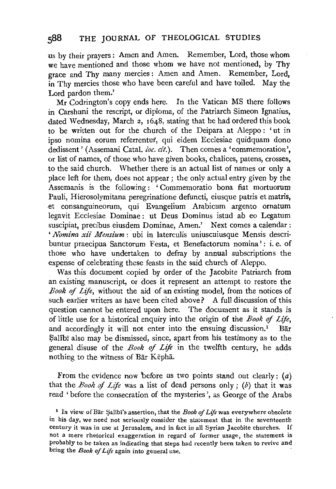us by their prayers: Amen and Amen. Remember, Lord, those whom we have mentioned and those whom we have not mentioned, by Thy grace and Thy many mercies: Amen and Amen. Remember, Lord, in Thy mercies those who have been careful and have toiled. May the Lord pardon them.'

Mr Codrington's copy ends here. In the Vatican MS there follows in Carshuni the rescript, or diploma, of the Patriarch Simeon Ignatius, dated Wednesday, March 2, 1648, stating that he had ordered this book to be written out for the church of the Deipara at Aleppo : 'ut in ipso nomina eorum referrentur, qui eidem Ecclesiae quidquam dono dedissent' (Assemani Catal. *loc. cit.*). Then comes a 'commemoration', or list of names, of those who have given books, chalices, patens, crosses, to the said church. Whether there is an actual list of names or only a place left for them, does not appear; the only actual entry given by the Assemanis is the following : ' Commemoratio bona fiat mortuorum Pauli, Hierosolymitana peregrinatione defuncti, eiusque patris et matris, et consanguineorum, qui Evangelium Arabicum argento ornatum legavit Ecclesiae Dominae: ut Deus Dominus istud ab eo Legatum suscipiat, precibus eiusdem Dominae, Amen.' Next comes a calendar : *'Nomina xii Mensium* : ubi in laterculis uniuscuiusque Mensis describuntur praecipua Sanctorum Festa, et Benefactorum nomina': i. e. of those who have undertaken to defray by annual subscriptions the expense of celebrating these feasts in the said church of Aleppo.

Was this document copied by order of the Jacobite Patriarch from an existing manuscript, or does it represent an attempt to restore the *Book of Life,* without the aid of an existing model, from the notices of such earlier writers as have been cited above? A full discussion of this question cannot be entered upon here. The document as it stands is of little use for a historical enquiry into the origin of the *Book* of *Life,*  and accordingly it will not enter into the ensuing discussion.<sup>1</sup> Bar Salībī also may be dismissed, since, apart from his testimony as to the general disuse of the *Book of Life* in the twelfth century, he adds nothing to the witness of Bar Kepha.

From the evidence now before us two points stand out clearly:  $(a)$ that the *Book* of *Life* was a list of dead persons only ; *(b)* that it was read 'before the consecration of the mysteries', as George of the Arabs

<sup>&</sup>lt;sup>1</sup> In view of Bär Salībī's assertion, that the *Book of Life* was everywhere obsolete in his day, we need not seriously consider the statement that in the seventeenth century it was in use at Jerusalem, and in fact in all Syrian Jacobite churches. If not a mere rhetorical exaggeration in regard of former usage, the statement is probably to be taken as indicating that steps had recently been taken to revive and bring the *Book of Life* again into general use.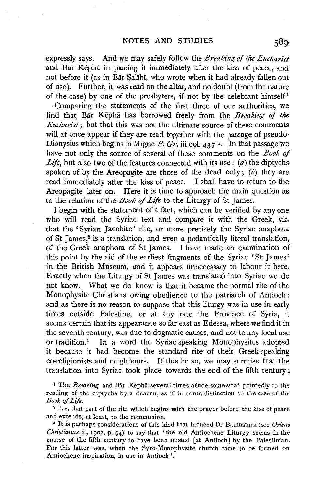expressly says. And we may safely follow the *Breaking of the Euchanst*  and Bar Kepha in placing it immediately after the kiss of peace, and not before it (as in Bār Salībī, who wrote when it had already fallen out of use). Further, it was read on the altar, and no doubt (from the nature of the case) by one of the presbyters, if not by the celebrant himself.1

Comparing the statements of the first three of our authorities, we find that Bar Kepha has borrowed freely from the *Breaking of the Eucharist*; but that this was not the ultimate source of these comments will at once appear if they are read together with the passage of pseudo-Dionysius which begins in Migne *P. Gr.* iii col. 437 B. In that passage we have not only the source of several of these comments on the *Book of Life*, but also two of the features connected with its use: (a) the diptychs spoken of by the Areopagite are those of the dead only;  $(b)$  they are read immediately after the kiss of peace. I shall have to return to the Areopagite later on. Here it is time to approach the main question as to the relation of the *Book of Life* to the Liturgy of St James.

I begin with the statement of a fact, which can be verified by any one who will read the Syriac text and compare it with the Greek, viz. that the 'Syrian Jacobite' rite, or more precisely the Syriac anaphora of St James,<sup>2</sup> is a translation, and even a pedantically literal translation, of the Greek anaphora of St James. I have made an examination of this point by the aid of the earliest fragments of the Syriac 'St- James' in the British Museum, and it appears unnecessary to labour it here. Exactly when the Liturgy of St James was translated into Syriac we do not know. What we do know is that it became the normal rite of the Monophysite Christians owing obedience to the patriarch of Antioch : and as there is no reason to suppose that this liturgy was in use in early times outside Palestine, or at any rate the Province of Syria, it seems certain that its appearance so far east as Edessa, where we find it in the seventh century, was due to dogmatic causes, and not to any local use or tradition.<sup>3</sup> In a word the Syriac-speaking Monophysites adopted it because it had become the standard rite of their Greek-speaking co-religionists and neighbours. If this he so, we may surmise that the translation into Syriac took place towards the end of the fifth century ;

<sup>1</sup> The *Breaking* and Bar Kepha several times allude somewhat pointedly to the reading of the diptychs by a deacon, as if in contradistinction to the case of the *Book of Life.* 

<sup>2</sup> I. e. that part of the rite which begins with the prayer before the kiss of peace and extends, at least, to the communion.

• It is perhaps considerations of this kind that induced Dr Baumstark (see *Oriens Christianus* ii, 1902, p. 94) to say that 'the old Antiochene Liturgy seems in the course of the fifth century to have been ousted [at Antioch] by the Palestinian. For this latter was, when the Syro-Monophysite church came to be formed on Antiochene inspiration, in use in Antioch '.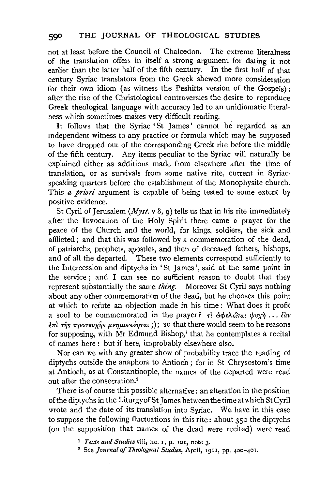not at least before the Council of Chalcedon. The extreme literalness of the translation offers in itself a strong argument for dating it not earlier than the latter half of the fifth century. In the first half of that century Syriac translators from the Greek shewed more consideration for their own idiom (as witness the Peshitta version of the Gospels): after the rise of the Christological controversies the desire to reproduce Greek theological language with accuracy led to an unidiomatic literalness which sometimes makes very difficult reading.

It follows that the Syriac 'St James' cannot be regarded as an independent witness to any practice or formula which may be supposed to have dropped out of the corresponding Greek rite before the middle of the fifth century. Any items peculiar to the Syriac will naturally be explained either as additions made from elsewhere after the time of translation, or as survivals from some native rite, current in Syriacspeaking quarters before the establishment of the Monophysite church. This *a priori* argument is capable of being tested to some extent by positive evidence.

St Cyril of Jerusalem (*Myst.* v 8, 9) tells us that in his rite immediately after the Invocation of the Holy Spirit there came a prayer for the peace of the Church and the world, for kings, soldiers, the sick and afflicted; and that this was followed by a commemoration of the dead, of patriarchs, prophets, apostles, and then of deceased fathers, bishops, and of all the departed. These two elements correspond sufficiently to the Intercession and diptychs in 'St James', said at the same point in the service ; and I can see no sufficient reason to doubt that they represent substantially the same *thing.* Moreover St Cyril says nothing about any other commemoration of the dead, but he chooses this point at which to refute an objection made in his time : What does it profit a soul to be commemorated in the prayer? *τι* ωφελείται ψυχή ... έαν *lπι της προσευχης μνημονεύηται* ;); so that there would seem to be reasons for supposing, with Mr Edmund Bishop,<sup>1</sup> that he contemplates a recital of names here : but if here, improbably elsewhere also.

Nor can we with any greater show of probability trace the reading of diptychs outside the anaphora to Antioch ; for in St Chrysostom's time at Antioch, as at Constantinople, the names of the departed were read out after the consecration.<sup>3</sup>

There is of course this possible alternative: an alteration in the position of the diptychs in the Liturgy of St James between the time at which St Cyril wrote and the date of its translation into Syriac. We have in this case to suppose the following fluctuations in this rite: about 350 the diptychs (on the supposition that names of the dead were recited) were read

- 
- <sup>1</sup> Texts and Studies viii, no. 1, p. 101, note 3.<br><sup>2</sup> See *Journal of Theological Studies*, April, 1911, pp. 400-401.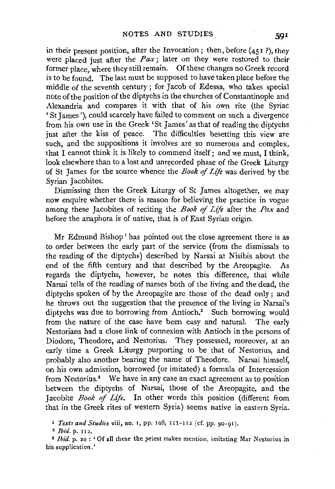in their present position, after the Invocation; then, before  $(451 ?)$ , they were placed just after the  $Pax$ ; later on they were restored to their former place, where they still remain. Of these changes no Greek record is to be found. The last must be supposed to have taken place before the middle of the seventh century; for Jacob of Edessa, who takes special note of the position of the diptychs in the churches of Constantinople and Alexandria and compares it with that of his own rite (the Syriac 'St James'), could scarcely have failed to comment on such a divergence from his own use in the Greek 'St James' as that of reading the diptychs just after the kiss of peace. The difficulties besetting this view are such, and the suppositions it involves are so numerous and complex, that I cannot think it is likely to commend itself; and we must, I think, look elsewhere than to a lost and unrecorded phase of the Greek Liturgy of St James for the source whence the *Book* ef *Life* was derived by the Syrian Jacobites.

Dismissing then the Greek Liturgy of St James altogether, we may now enquire whether there is reason for believing the practice in vogue among these Jacobites of reciting the *Book of Life* after the *Pax* and before the anaphora is of native, that is of East Syrian origin.

Mr Edmund Bishop<sup>1</sup> has pointed out the close agreement there is as to order between the early part of the service (from the dismissals to the reading of the diptychs) described by Narsai at Nisibis about the end of the fifth century and that described by the Areopagite. As regards the diptychs, however, he notes this difference, that while Narsai tells of the reading of names both of the living and the dead, the diptychs spoken of by the Areopagite are those of the dead only; and he throws out the suggestion that the presence of the living in Narsai's diptychs was due to borrowing from Antioch.<sup>2</sup> Such borrowing would from the nature of the case have been easy and natural. The early Nestorians had a close link of connexion with Antioch in the persons of Diodore, Theodore, and Nestorius. They possessed, moreover, at an early time a Greek Liturgy purporting to be that of Nestorius, and probably also another bearing the name of Theodore. Narsai himself, on his own admission, borrowed (or imitated) a formula of Intercession from Nestorius.<sup>8</sup> We have in any case an exact agreement as to position between the diptychs of Narsai, those of the Areopagite, and the Jacobite *Book of Life.* In other words this position (different from that in the Greek rites of western Syria) seems native in eastern Syria.

<sup>1</sup> Texts and Studies viii, no. 1, pp. 108, 111-112 (cf. pp. 90-91).

<sup>2</sup>*Ibid.* p. II 2,

<sup>3</sup>*Ibid.* p. 20 : 'Of all these the priest makes mention, imitating Mar Nestorius in his supplication.'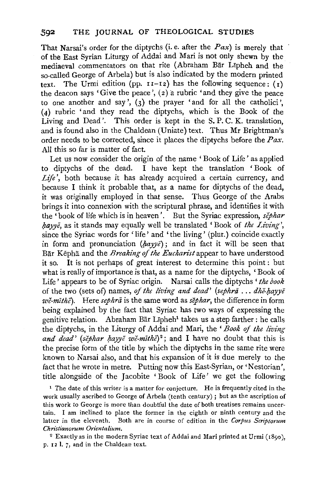That Narsai's order for the diptychs (i. e. after the *Pax)* is merely that of the East Syrian Liturgy of Addai and Mari is not only shewn by the mediaeval commentators on that rite (Abraham Bār Līpheh and the so-called George of Arbela) but is also indicated by the modern printed text. The Urmi edition (pp.  $11-12$ ) has the following sequence: ( $_1$ ) the deacon says 'Give the peace',  $(z)$  a rubric 'and they give the peace to one another and say ',  $(3)$  the prayer 'and for all the catholici', (4) rubric 'and they read the diptychs, which is the Book of the Living and Dead'. This order is kept in the S. P. C. K. translation, and is found also in the Chaldean (Uniate) text. Thus Mr Brightman's order needs to be corrected, since it places the diptychs before the *Pax.*  All this so far is matter of fact.

Let us now consider the origin of the name ' Book of Life' as applied to diptychs of the dead. I have kept the translation 'Book of Life', both because it has already acquired a certain currency, and because I think it probable that, as a name for diptychs of the dead, it was originally employed in that sense. Thus George of the Arabs brings it into connexion with the scriptural phrase, and identifies it with the 'book of life which is in heaven'. But the Syriac expression, *sephar*  hayye, as it stands may equally well be translated 'Book of the Living', since the Syriac words for 'life' and 'the living' (plur.) coincide exactly in form and pronunciation  $(hayy\bar{e})$ ; and in fact it will be seen that Bar Kepha and the *Breaking of the Eucharist* appear to have understood it so. It is not perhaps of great interest to determine this point : but what is really of importance is that, as a name for the diptychs, 'Book of Life' appears to be of Syriac origin. Narsai calls the diptychs *'the book*  of the two (sets of) names, *of the living and dead' (sephra ... dhe-(l,ayye we-mitht).* Here *sephra* is the same word as *sephar,* the difference in form being explained by the fact that Syriac has two ways of expressing the genitive relation. Abraham Bar Lipheh<sup>1</sup> takes us a step farther: he calls the diptychs, in the Liturgy of Addai and Mari, the *'Book of the living and dead' (sephar havye we-mithe)*<sup>2</sup>; and I have no doubt that this is the precise form of the title by which the diptychs in the same rite were known to Narsai also, and that his expansion of it is due merely to the fact that he wrote in metre. Putting now this East-Syrian, or 'Nestorian', title alongside of the Jacobite 'Book of Life' we get the following

<sup>1</sup> The date of this writer is a matter for conjecture. He is frequently cited in the work usually ascribed to George of Arbela (tenth century) ; but as the ascription of this work to George is more than doubtful the date of both treatises remains uncertain. I am inclined to place the former in the eighth or ninth century and the latter in the eleventh. Both are in course of edition in the *Corpus Scriptorum Christianorum Orientalium.* 

<sup>2</sup> Exactly as in the modern Syriac text of Addai and Mari printed at Urmi (1890), p. 12 l. 7, and in the Chaldean text.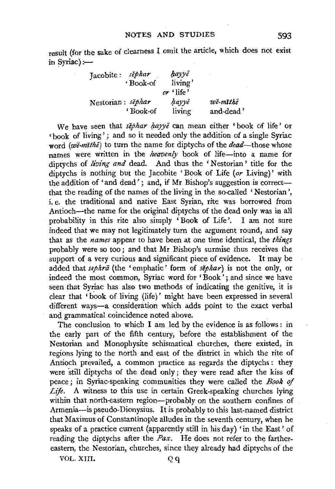result (for the sake of clearness I omit the article, which does not exist in Syriac) : $-$ 

| sĕphar<br>Jacobite:<br>'Book-of | hayyē<br>living'<br>or 'life' |                   |
|---------------------------------|-------------------------------|-------------------|
| Nestorian : sephar              | hayye                         | wě m <b>i</b> thē |
| 'Book-of                        | living                        | and-dead'         |

We have seen that *sephar hayye* can mean either 'book of life' or ' book of living ' ; and so it needed only the addition of a single Syriac word *(we-mithe)* to turn the name for diptychs of the *dead*—those whose names were written in the *heavenly* book of life-into a name for diptychs of *living and* dead. And thus the 'Nestorian' title for the diptychs is nothing but the Jacobite 'Book of Life *(or* Living)' with the addition of 'and dead'; and, if Mr Bishop's suggestion is correctthat the reading of the names of the living in the so-called 'Nestorian ', i. e. the traditional and native East Syrian, rite was borrowed from Antioch-the name for the original diptychs of the dead only was in all probability in this rite also simply 'Book of Life'. I am not sure indeed that we may not legitimately turn the argument round, and say that as the *names* appear to have been at one time identical, the *things*  probably were so too ; and that Mr Bishop's surmise thus receives the support of a very curious and significant piece of evidence. It may be added that *sephra* (the 'emphatic' form of *sephar)* is not the only, or indeed the most common, Syriac word for 'Book ' ; and since we have seen that Syriac has also two methods of indicating the genitive, it is clear that ' book of living (life)' might have been expressed in several different ways-a consideration which adds point to the exact verbal and grammatical coincidence noted above.

The conclusion to which I am led by the evidence is as follows : in the early part of the fifth century, before the establishment of the Nestorian and Monophysite schismatical churches, there existed, in regions lying to the north and east of the district in which the rite of Antioch prevailed, a common practice as regards the diptychs : they were still diptychs of the dead only ; they were read after the kiss of peace ; in Syriac-speaking communities they were called the *Book* of *Life.* A witness to this use in certain Greek-speaking churches lying within that north-eastern region-probably on the southern confines of Armenia-is pseudo-Dionysius. It is probably to this last-named district that Maximus of Constantinople alludes in the seventh century, when he speaks of a practice current (apparently still in his day) 'in the East' of reading the diptychs after the Pax. He does not refer to the farthereastern, the Nestorian, churches, since they already had diptychs of the

VOL. XIII. Q q